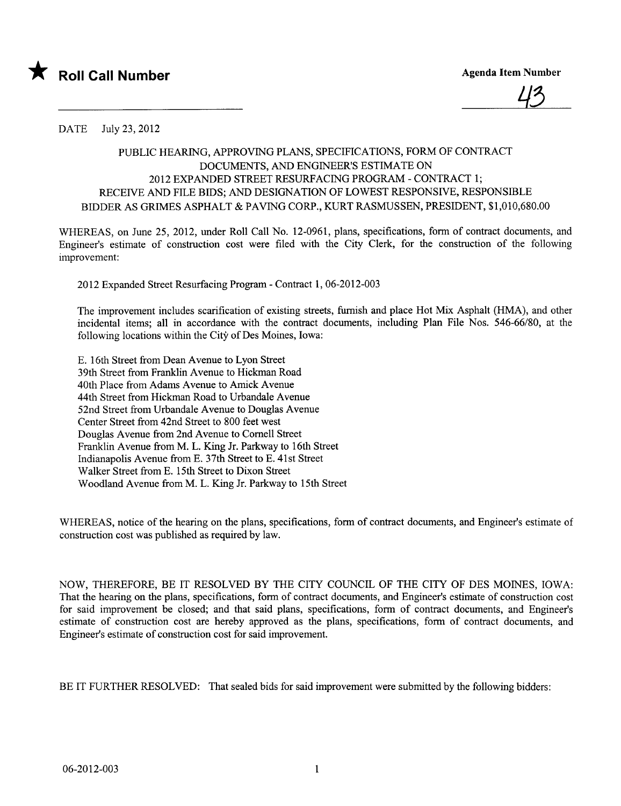



DATE July 23,2012

## PUBLIC HEARIG, APPROVING PLANS, SPECIFICATIONS, FORM OF CONTRACT DOCUMENTS, AND ENGINEER'S ESTIMATE ON 2012 EXPANDED STREET RESURFACING PROGRAM - CONTRACT 1; RECEIVE AND FILE BIDS; AND DESIGNATION OF LOWEST RESPONSIVE, RESPONSIBLE BIDDER AS GRIMES ASPHALT & PAVING CORP., KURT RASMUSSEN, PRESIDENT, \$1,010,680.00

WHEREAS, on June 25, 2012, under Roll Call No. 12-0961, plans, specifications, form of contract documents, and Engineer's estimate of construction cost were filed with the City Clerk, for the construction of the following improvement:

2012 Expanded Street Resurfacing Program - Contract 1,06-2012-003

The improvement includes scarfication of existing streets, furnish and place Hot Mix Asphalt (HMA), and other incidental items; all in accordance with the contract documents, including Plan File Nos. 546-66/80, at the following locations within the City of Des Moines, Iowa:

E. 16th Street from Dean Avenue to Lyon Street 39th Street from Franklin Avenue to Hickman Road 40th Place from Adams Avenue to Amick Avenue 44th Street from Hickman Road to Urbandale Avenue 52nd Street from Urbandale Avenue to Douglas Avenue Center Street from 42nd Street to 800 feet west Douglas Avenue from 2nd Avenue to Cornell Street Franklin Avenue from M. L. King Jr. Parkway to 16th Street Indianapolis Avenue from E. 37th Street to E. 41st Street Walker Street from E. 15th Street to Dixon Street W oodland Avenue from M. L. King Jr. Parkway to 15th Street

WHEREAS, notice of the hearing on the plans, specifications, form of contract documents, and Engineer's estimate of construction cost was published as required by law.

NOW, THEREFORE, BE IT RESOLVED BY THE CITY COUNCIL OF THE CITY OF DES MOINES, IOWA: That the hearing on the plans, specifications, form of contract documents, and Engineer's estimate of construction cost for said improvement be closed; and that said plans, specifications, form of contract documents, and Engineer's estimate of construction cost are hereby approved as the plans, specifications, form of contract documents, and Engineer's estimate of construction cost for said improvement.

BE IT FURTHER RESOLVED: That sealed bids for said improvement were submitted by the following bidders: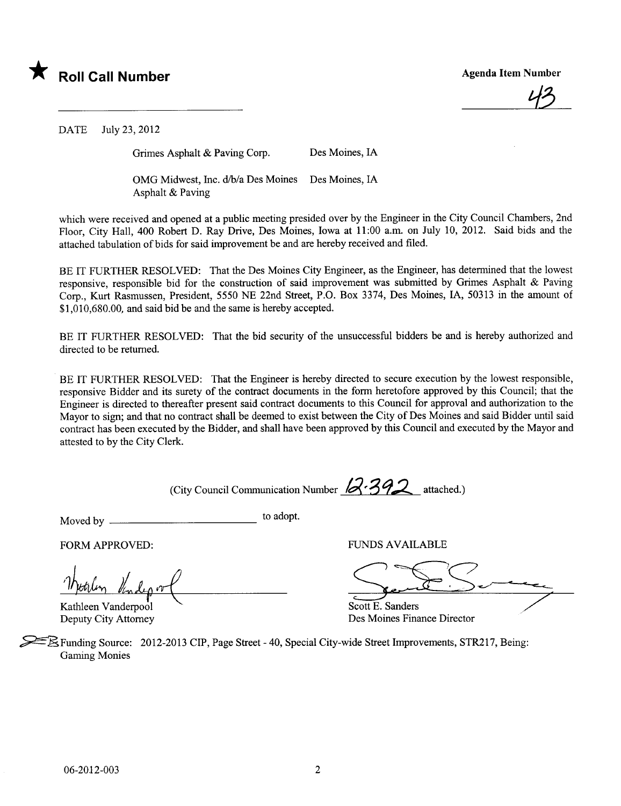

43

DATE July 23,2012

Grimes Asphalt & Paving Corp. Des Moines, IA

OMG Midwest, Inc. d/b/a Des Moines Des Moines, IA Asphalt & Paving

which were received and opened at a public meeting presided over by the Engineer in the City Council Chambers, 2nd Floor, City Hall, 400 Robert D. Ray Drive, Des Moines, Iowa at 11:00 a.m. on July 10, 2012. Said bids and the attached tabulation of bids for said improvement be and are hereby received and filed.

BE IT FURTHER RESOLVED: That the Des Moines City Engineer, as the Engineer, has determined that the lowest responsive, responsible bid for the construction of said improvement was submitted by Grimes Asphalt & Paving Corp., Kurt Rasmussen, President, 5550 NE 22nd Street, P.O. Box 3374, Des Moines, lA, 50313 in the amount of \$1,010,680.00, and said bid be and the same is hereby accepted.

BE IT FURTHER RESOLVED: That the bid security of the unsuccessful bidders be and is hereby authorized and directed to be returned.

BE IT FURTHER RESOLVED: That the Engineer is hereby directed to secure execution by the lowest responsible, responsive Bidder and its surety of the contract documents in the form heretofore approved by this Council; that the Engineer is directed to thereafter present said contract documents to this Council for approval and authorization to the Mayor to sign; and that no contract shall be deemed to exist between the City of Des Moines and said Bidder until said contract has been executed by the Bidder, and shall have been approved by this Council and executed by the Mayor and attested to by the City Clerk.

(City Council Communication Number  $1/3$ ?) attached.)

Moved by to adopt.

Weerlen Kindy of

Kathleen Vanderpool Deputy City Attorney

FORM APPROVED: FUNDS AVAILABLE

Seul Service

Des Moines Finance Director

~Ê.Funding Source: 2012-2013 CIP, Page Street - 40, Special City-wide Street Improvements, STR217, Being: Gaming Monies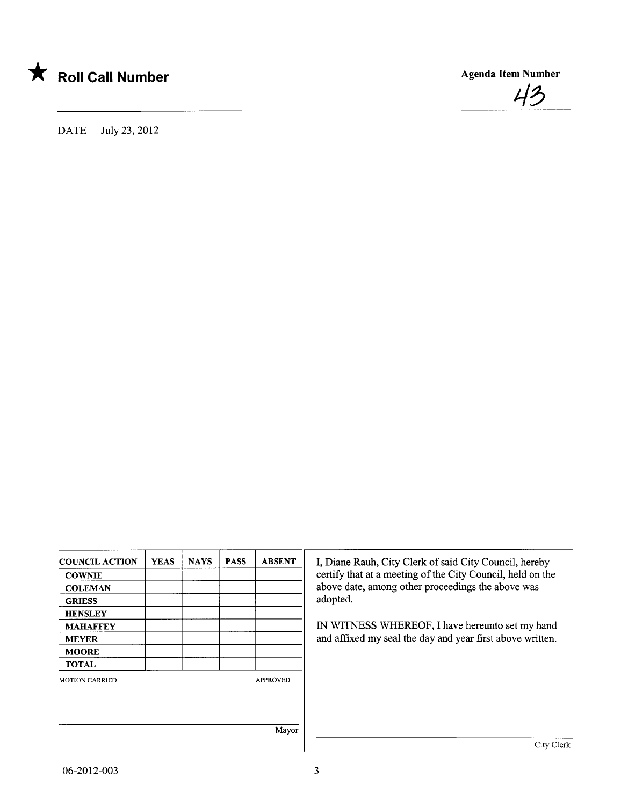



DATE July 23,2012

| <b>COUNCIL ACTION</b> | <b>YEAS</b> | <b>NAYS</b> | <b>PASS</b> | <b>ABSENT</b>   | I, Diane Rauh, City Clerk of said City Council, hereby     |
|-----------------------|-------------|-------------|-------------|-----------------|------------------------------------------------------------|
| <b>COWNIE</b>         |             |             |             |                 | certify that at a meeting of the City Council, held on the |
| <b>COLEMAN</b>        |             |             |             |                 | above date, among other proceedings the above was          |
| <b>GRIESS</b>         |             |             |             |                 | adopted.                                                   |
| <b>HENSLEY</b>        |             |             |             |                 |                                                            |
| <b>MAHAFFEY</b>       |             |             |             |                 | IN WITNESS WHEREOF, I have hereunto set my hand            |
| <b>MEYER</b>          |             |             |             |                 | and affixed my seal the day and year first above written.  |
| <b>MOORE</b>          |             |             |             |                 |                                                            |
| <b>TOTAL</b>          |             |             |             |                 |                                                            |
| <b>MOTION CARRIED</b> |             |             |             | <b>APPROVED</b> |                                                            |
|                       |             |             |             |                 |                                                            |
|                       |             |             |             |                 |                                                            |
|                       |             |             |             | Mayor           |                                                            |
|                       |             |             |             |                 | City Clerk                                                 |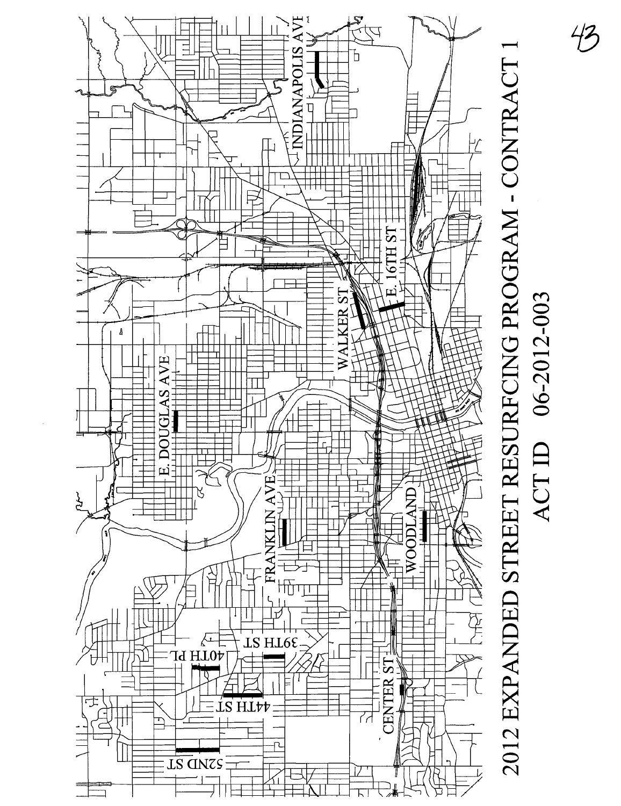